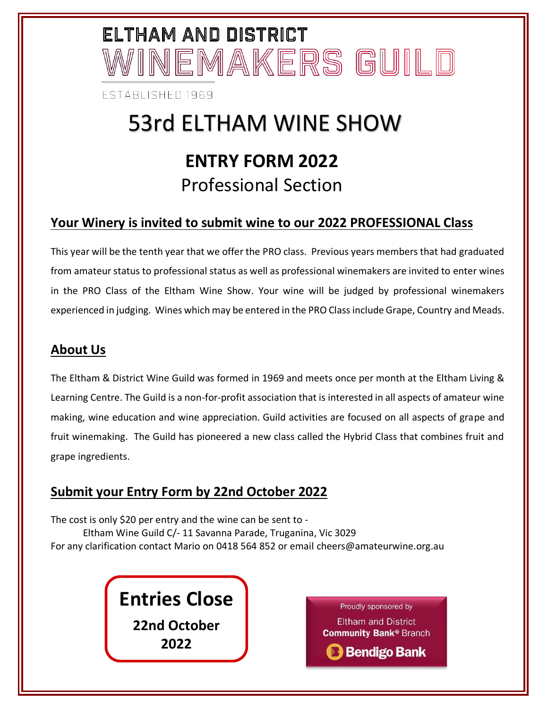# ELTHAM AND DISTRICT /INEMAKERS GUILD

**FSTABLISHED 1969** 

### 53rd ELTHAM WINE SHOW **ENTRY FORM 2022** Professional Section

#### **Your Winery is invited to submit wine to our 2022 PROFESSIONAL Class**

This year will be the tenth year that we offer the PRO class. Previous years members that had graduated from amateur status to professional status as well as professional winemakers are invited to enter wines in the PRO Class of the Eltham Wine Show. Your wine will be judged by professional winemakers experienced in judging. Wines which may be entered in the PRO Class include Grape, Country and Meads.

#### **About Us**

The Eltham & District Wine Guild was formed in 1969 and meets once per month at the Eltham Living & Learning Centre. The Guild is a non-for-profit association that is interested in all aspects of amateur wine making, wine education and wine appreciation. Guild activities are focused on all aspects of grape and fruit winemaking. The Guild has pioneered a new class called the Hybrid Class that combines fruit and grape ingredients.

#### **Submit your Entry Form by 22nd October 2022**

The cost is only \$20 per entry and the wine can be sent to - Eltham Wine Guild C/- 11 Savanna Parade, Truganina, Vic 3029 For any clarification contact Mario on 0418 564 852 or email cheers@amateurwine.org.au

> **Entries Close 22nd October 2022**

Proudly sponsored by **Eltham and District Community Bank® Branch B** Bendigo Bank